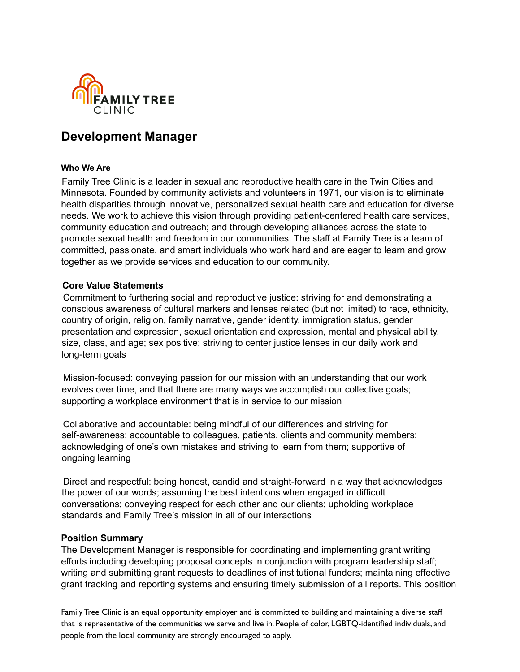

# **Development Manager**

#### **Who We Are**

Family Tree Clinic is a leader in sexual and reproductive health care in the Twin Cities and Minnesota. Founded by community activists and volunteers in 1971, our vision is to eliminate health disparities through innovative, personalized sexual health care and education for diverse needs. We work to achieve this vision through providing patient-centered health care services, community education and outreach; and through developing alliances across the state to promote sexual health and freedom in our communities. The staff at Family Tree is a team of committed, passionate, and smart individuals who work hard and are eager to learn and grow together as we provide services and education to our community.

#### **Core Value Statements**

Commitment to furthering social and reproductive justice: striving for and demonstrating a conscious awareness of cultural markers and lenses related (but not limited) to race, ethnicity, country of origin, religion, family narrative, gender identity, immigration status, gender presentation and expression, sexual orientation and expression, mental and physical ability, size, class, and age; sex positive; striving to center justice lenses in our daily work and long-term goals

Mission-focused: conveying passion for our mission with an understanding that our work evolves over time, and that there are many ways we accomplish our collective goals; supporting a workplace environment that is in service to our mission

Collaborative and accountable: being mindful of our differences and striving for self-awareness; accountable to colleagues, patients, clients and community members; acknowledging of one's own mistakes and striving to learn from them; supportive of ongoing learning

Direct and respectful: being honest, candid and straight-forward in a way that acknowledges the power of our words; assuming the best intentions when engaged in difficult conversations; conveying respect for each other and our clients; upholding workplace standards and Family Tree's mission in all of our interactions

#### **Position Summary**

The Development Manager is responsible for coordinating and implementing grant writing efforts including developing proposal concepts in conjunction with program leadership staff; writing and submitting grant requests to deadlines of institutional funders; maintaining effective grant tracking and reporting systems and ensuring timely submission of all reports. This position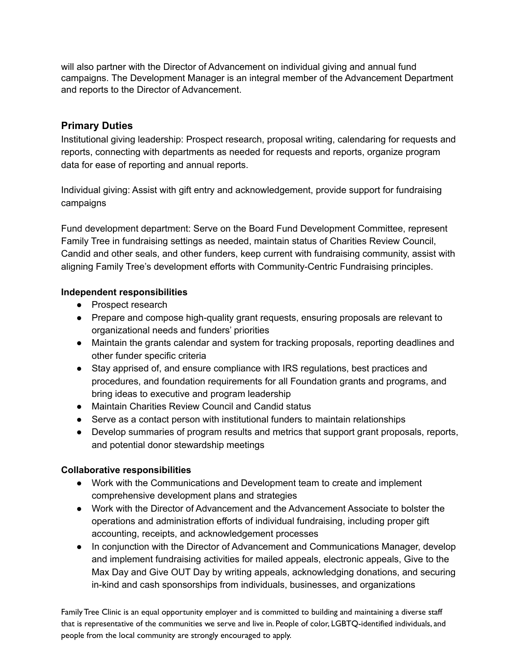will also partner with the Director of Advancement on individual giving and annual fund campaigns. The Development Manager is an integral member of the Advancement Department and reports to the Director of Advancement.

#### **Primary Duties**

Institutional giving leadership: Prospect research, proposal writing, calendaring for requests and reports, connecting with departments as needed for requests and reports, organize program data for ease of reporting and annual reports.

Individual giving: Assist with gift entry and acknowledgement, provide support for fundraising campaigns

Fund development department: Serve on the Board Fund Development Committee, represent Family Tree in fundraising settings as needed, maintain status of Charities Review Council, Candid and other seals, and other funders, keep current with fundraising community, assist with aligning Family Tree's development efforts with Community-Centric Fundraising principles.

#### **Independent responsibilities**

- Prospect research
- Prepare and compose high-quality grant requests, ensuring proposals are relevant to organizational needs and funders' priorities
- Maintain the grants calendar and system for tracking proposals, reporting deadlines and other funder specific criteria
- Stay apprised of, and ensure compliance with IRS regulations, best practices and procedures, and foundation requirements for all Foundation grants and programs, and bring ideas to executive and program leadership
- Maintain Charities Review Council and Candid status
- Serve as a contact person with institutional funders to maintain relationships
- Develop summaries of program results and metrics that support grant proposals, reports, and potential donor stewardship meetings

# **Collaborative responsibilities**

- Work with the Communications and Development team to create and implement comprehensive development plans and strategies
- Work with the Director of Advancement and the Advancement Associate to bolster the operations and administration efforts of individual fundraising, including proper gift accounting, receipts, and acknowledgement processes
- In conjunction with the Director of Advancement and Communications Manager, develop and implement fundraising activities for mailed appeals, electronic appeals, Give to the Max Day and Give OUT Day by writing appeals, acknowledging donations, and securing in-kind and cash sponsorships from individuals, businesses, and organizations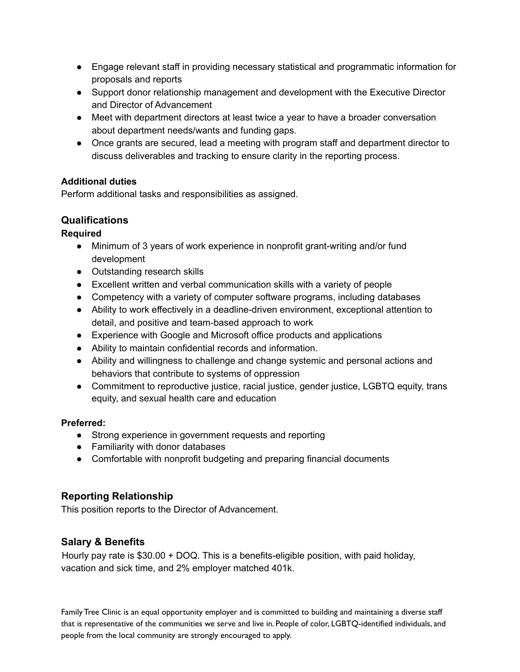- Engage relevant staff in providing necessary statistical and programmatic information for proposals and reports
- Support donor relationship management and development with the Executive Director and Director of Advancement
- Meet with department directors at least twice a year to have a broader conversation about department needs/wants and funding gaps.
- Once grants are secured, lead a meeting with program staff and department director to discuss deliverables and tracking to ensure clarity in the reporting process.

#### **Additional duties**

Perform additional tasks and responsibilities as assigned.

# **Qualifications**

# **Required**

- Minimum of 3 years of work experience in nonprofit grant-writing and/or fund development
- Outstanding research skills
- Excellent written and verbal communication skills with a variety of people
- Competency with a variety of computer software programs, including databases
- Ability to work effectively in a deadline-driven environment, exceptional attention to detail, and positive and team-based approach to work
- Experience with Google and Microsoft office products and applications
- Ability to maintain confidential records and information.
- Ability and willingness to challenge and change systemic and personal actions and behaviors that contribute to systems of oppression
- Commitment to reproductive justice, racial justice, gender justice, LGBTQ equity, trans equity, and sexual health care and education

# **Preferred:**

- Strong experience in government requests and reporting
- Familiarity with donor databases
- Comfortable with nonprofit budgeting and preparing financial documents

# **Reporting Relationship**

This position reports to the Director of Advancement.

# **Salary & Benefits**

Hourly pay rate is \$30.00 + DOQ. This is a benefits-eligible position, with paid holiday, vacation and sick time, and 2% employer matched 401k.